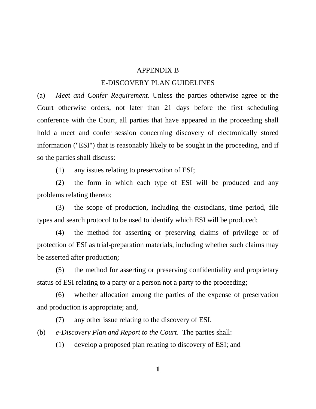## APPENDIX B

## E-DISCOVERY PLAN GUIDELINES

(a) *Meet and Confer Requirement*. Unless the parties otherwise agree or the Court otherwise orders, not later than 21 days before the first scheduling conference with the Court, all parties that have appeared in the proceeding shall hold a meet and confer session concerning discovery of electronically stored information ("ESI") that is reasonably likely to be sought in the proceeding, and if so the parties shall discuss:

(1) any issues relating to preservation of ESI;

 (2) the form in which each type of ESI will be produced and any problems relating thereto;

 (3) the scope of production, including the custodians, time period, file types and search protocol to be used to identify which ESI will be produced;

 (4) the method for asserting or preserving claims of privilege or of protection of ESI as trial-preparation materials, including whether such claims may be asserted after production;

 (5) the method for asserting or preserving confidentiality and proprietary status of ESI relating to a party or a person not a party to the proceeding;

 (6) whether allocation among the parties of the expense of preservation and production is appropriate; and,

(7) any other issue relating to the discovery of ESI.

(b) *e-Discovery Plan and Report to the Court*. The parties shall:

(1) develop a proposed plan relating to discovery of ESI; and

**1**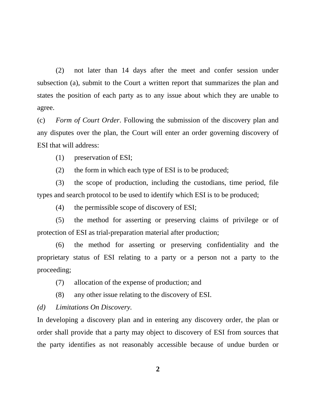(2) not later than 14 days after the meet and confer session under subsection (a), submit to the Court a written report that summarizes the plan and states the position of each party as to any issue about which they are unable to agree.

(c) *Form of Court Order*. Following the submission of the discovery plan and any disputes over the plan, the Court will enter an order governing discovery of ESI that will address:

(1) preservation of ESI;

(2) the form in which each type of ESI is to be produced;

 (3) the scope of production, including the custodians, time period, file types and search protocol to be used to identify which ESI is to be produced;

(4) the permissible scope of discovery of ESI;

 (5) the method for asserting or preserving claims of privilege or of protection of ESI as trial-preparation material after production;

 (6) the method for asserting or preserving confidentiality and the proprietary status of ESI relating to a party or a person not a party to the proceeding;

(7) allocation of the expense of production; and

(8) any other issue relating to the discovery of ESI.

*(d) Limitations On Discovery.*

In developing a discovery plan and in entering any discovery order, the plan or order shall provide that a party may object to discovery of ESI from sources that the party identifies as not reasonably accessible because of undue burden or

**2**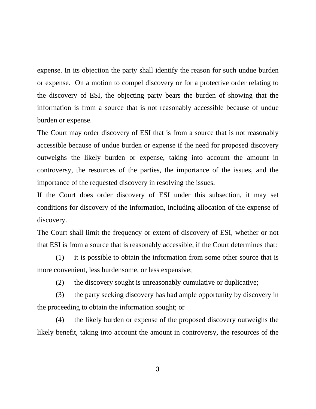expense. In its objection the party shall identify the reason for such undue burden or expense. On a motion to compel discovery or for a protective order relating to the discovery of ESI, the objecting party bears the burden of showing that the information is from a source that is not reasonably accessible because of undue burden or expense.

The Court may order discovery of ESI that is from a source that is not reasonably accessible because of undue burden or expense if the need for proposed discovery outweighs the likely burden or expense, taking into account the amount in controversy, the resources of the parties, the importance of the issues, and the importance of the requested discovery in resolving the issues.

If the Court does order discovery of ESI under this subsection, it may set conditions for discovery of the information, including allocation of the expense of discovery.

The Court shall limit the frequency or extent of discovery of ESI, whether or not that ESI is from a source that is reasonably accessible, if the Court determines that:

 (1) it is possible to obtain the information from some other source that is more convenient, less burdensome, or less expensive;

(2) the discovery sought is unreasonably cumulative or duplicative;

 (3) the party seeking discovery has had ample opportunity by discovery in the proceeding to obtain the information sought; or

 (4) the likely burden or expense of the proposed discovery outweighs the likely benefit, taking into account the amount in controversy, the resources of the

**3**